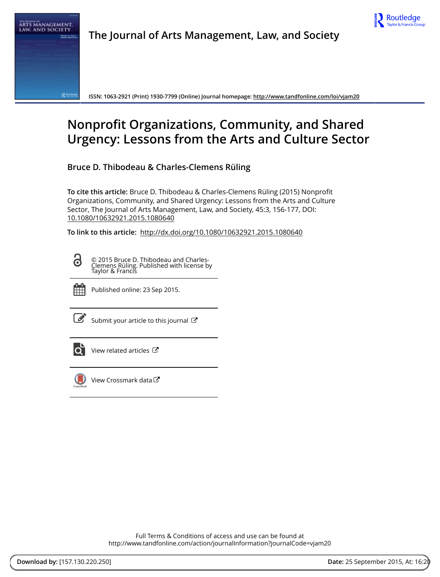

**The Journal of Arts Management, Law, and Society**

**ISSN: 1063-2921 (Print) 1930-7799 (Online) Journal homepage:<http://www.tandfonline.com/loi/vjam20>**

# **Nonprofit Organizations, Community, and Shared Urgency: Lessons from the Arts and Culture Sector**

**Bruce D. Thibodeau & Charles-Clemens Rüling**

**To cite this article:** Bruce D. Thibodeau & Charles-Clemens Rüling (2015) Nonprofit Organizations, Community, and Shared Urgency: Lessons from the Arts and Culture Sector, The Journal of Arts Management, Law, and Society, 45:3, 156-177, DOI: [10.1080/10632921.2015.1080640](http://www.tandfonline.com/action/showCitFormats?doi=10.1080/10632921.2015.1080640)

**To link to this article:** <http://dx.doi.org/10.1080/10632921.2015.1080640>

© 2015 Bruce D. Thibodeau and Charles-Clemens Rüling. Published with license by Taylor & Francis



8

**ARTS MANAGEMENT**<br>LAW, AND SOCIETY

R.

Published online: 23 Sep 2015.

[Submit your article to this journal](http://www.tandfonline.com/action/authorSubmission?journalCode=vjam20&page=instructions)  $\mathbb{Z}$ 



[View related articles](http://www.tandfonline.com/doi/mlt/10.1080/10632921.2015.1080640)  $\mathbb{Z}$ 



[View Crossmark data](http://crossmark.crossref.org/dialog/?doi=10.1080/10632921.2015.1080640&domain=pdf&date_stamp=2015-09-23)<sup>C</sup>

Full Terms & Conditions of access and use can be found at <http://www.tandfonline.com/action/journalInformation?journalCode=vjam20>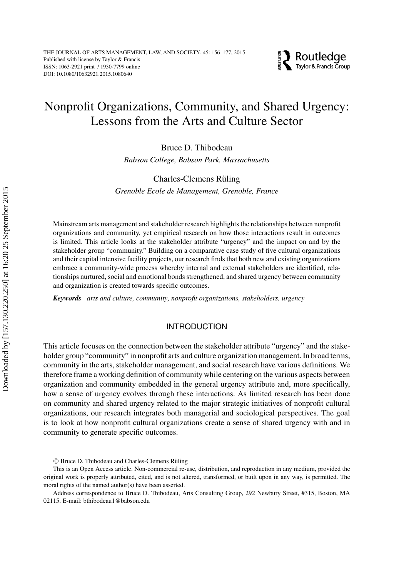

## Nonprofit Organizations, Community, and Shared Urgency: Lessons from the Arts and Culture Sector

Bruce D. Thibodeau

*Babson College, Babson Park, Massachusetts*

## Charles-Clemens Rüling *Grenoble Ecole de Management, Grenoble, France*

Mainstream arts management and stakeholder research highlights the relationships between nonprofit organizations and community, yet empirical research on how those interactions result in outcomes is limited. This article looks at the stakeholder attribute "urgency" and the impact on and by the stakeholder group "community." Building on a comparative case study of five cultural organizations and their capital intensive facility projects, our research finds that both new and existing organizations embrace a community-wide process whereby internal and external stakeholders are identified, relationships nurtured, social and emotional bonds strengthened, and shared urgency between community and organization is created towards specific outcomes.

*Keywords arts and culture, community, nonprofit organizations, stakeholders, urgency*

## INTRODUCTION

This article focuses on the connection between the stakeholder attribute "urgency" and the stakeholder group "community" in nonprofit arts and culture organization management. In broad terms, community in the arts, stakeholder management, and social research have various definitions. We therefore frame a working definition of community while centering on the various aspects between organization and community embedded in the general urgency attribute and, more specifically, how a sense of urgency evolves through these interactions. As limited research has been done on community and shared urgency related to the major strategic initiatives of nonprofit cultural organizations, our research integrates both managerial and sociological perspectives. The goal is to look at how nonprofit cultural organizations create a sense of shared urgency with and in community to generate specific outcomes.

<sup>©</sup> Bruce D. Thibodeau and Charles-Clemens Rüling

This is an Open Access article. Non-commercial re-use, distribution, and reproduction in any medium, provided the original work is properly attributed, cited, and is not altered, transformed, or built upon in any way, is permitted. The moral rights of the named author(s) have been asserted.

Address correspondence to Bruce D. Thibodeau, Arts Consulting Group, 292 Newbury Street, #315, Boston, MA 02115. E-mail: bthibodeau1@babson.edu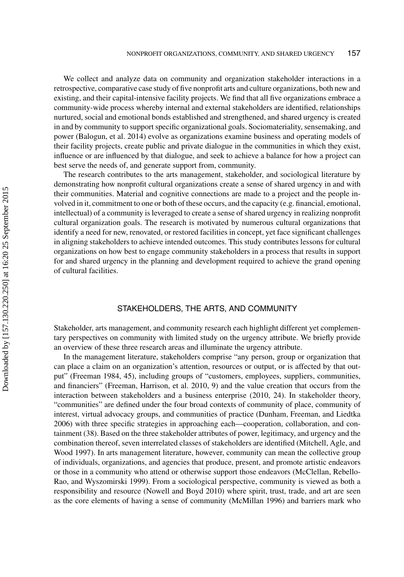We collect and analyze data on community and organization stakeholder interactions in a retrospective, comparative case study of five nonprofit arts and culture organizations, both new and existing, and their capital-intensive facility projects. We find that all five organizations embrace a community-wide process whereby internal and external stakeholders are identified, relationships nurtured, social and emotional bonds established and strengthened, and shared urgency is created in and by community to support specific organizational goals. Sociomateriality, sensemaking, and power (Balogun, et al. 2014) evolve as organizations examine business and operating models of their facility projects, create public and private dialogue in the communities in which they exist, influence or are influenced by that dialogue, and seek to achieve a balance for how a project can best serve the needs of, and generate support from, community.

The research contributes to the arts management, stakeholder, and sociological literature by demonstrating how nonprofit cultural organizations create a sense of shared urgency in and with their communities. Material and cognitive connections are made to a project and the people involved in it, commitment to one or both of these occurs, and the capacity (e.g. financial, emotional, intellectual) of a community is leveraged to create a sense of shared urgency in realizing nonprofit cultural organization goals. The research is motivated by numerous cultural organizations that identify a need for new, renovated, or restored facilities in concept, yet face significant challenges in aligning stakeholders to achieve intended outcomes. This study contributes lessons for cultural organizations on how best to engage community stakeholders in a process that results in support for and shared urgency in the planning and development required to achieve the grand opening of cultural facilities.

## STAKEHOLDERS, THE ARTS, AND COMMUNITY

Stakeholder, arts management, and community research each highlight different yet complementary perspectives on community with limited study on the urgency attribute. We briefly provide an overview of these three research areas and illuminate the urgency attribute.

In the management literature, stakeholders comprise "any person, group or organization that can place a claim on an organization's attention, resources or output, or is affected by that output" (Freeman 1984, 45), including groups of "customers, employees, suppliers, communities, and financiers" (Freeman, Harrison, et al. 2010, 9) and the value creation that occurs from the interaction between stakeholders and a business enterprise (2010, 24). In stakeholder theory, "communities" are defined under the four broad contexts of community of place, community of interest, virtual advocacy groups, and communities of practice (Dunham, Freeman, and Liedtka 2006) with three specific strategies in approaching each—cooperation, collaboration, and containment (38). Based on the three stakeholder attributes of power, legitimacy, and urgency and the combination thereof, seven interrelated classes of stakeholders are identified (Mitchell, Agle, and Wood 1997). In arts management literature, however, community can mean the collective group of individuals, organizations, and agencies that produce, present, and promote artistic endeavors or those in a community who attend or otherwise support those endeavors (McClellan, Rebello-Rao, and Wyszomirski 1999). From a sociological perspective, community is viewed as both a responsibility and resource (Nowell and Boyd 2010) where spirit, trust, trade, and art are seen as the core elements of having a sense of community (McMillan 1996) and barriers mark who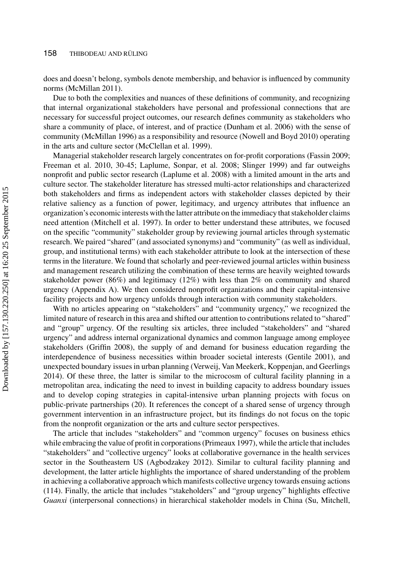does and doesn't belong, symbols denote membership, and behavior is influenced by community norms (McMillan 2011).

Due to both the complexities and nuances of these definitions of community, and recognizing that internal organizational stakeholders have personal and professional connections that are necessary for successful project outcomes, our research defines community as stakeholders who share a community of place, of interest, and of practice (Dunham et al. 2006) with the sense of community (McMillan 1996) as a responsibility and resource (Nowell and Boyd 2010) operating in the arts and culture sector (McClellan et al. 1999).

Managerial stakeholder research largely concentrates on for-profit corporations (Fassin 2009; Freeman et al. 2010, 30-45; Laplume, Sonpar, et al. 2008; Slinger 1999) and far outweighs nonprofit and public sector research (Laplume et al. 2008) with a limited amount in the arts and culture sector. The stakeholder literature has stressed multi-actor relationships and characterized both stakeholders and firms as independent actors with stakeholder classes depicted by their relative saliency as a function of power, legitimacy, and urgency attributes that influence an organization's economic interests with the latter attribute on the immediacy that stakeholder claims need attention (Mitchell et al. 1997). In order to better understand these attributes, we focused on the specific "community" stakeholder group by reviewing journal articles through systematic research. We paired "shared" (and associated synonyms) and "community" (as well as individual, group, and institutional terms) with each stakeholder attribute to look at the intersection of these terms in the literature. We found that scholarly and peer-reviewed journal articles within business and management research utilizing the combination of these terms are heavily weighted towards stakeholder power (86%) and legitimacy (12%) with less than 2% on community and shared urgency (Appendix A). We then considered nonprofit organizations and their capital-intensive facility projects and how urgency unfolds through interaction with community stakeholders.

With no articles appearing on "stakeholders" and "community urgency," we recognized the limited nature of research in this area and shifted our attention to contributions related to "shared" and "group" urgency. Of the resulting six articles, three included "stakeholders" and "shared urgency" and address internal organizational dynamics and common language among employee stakeholders (Griffin 2008), the supply of and demand for business education regarding the interdependence of business necessities within broader societal interests (Gentile 2001), and unexpected boundary issues in urban planning (Verweij, Van Meekerk, Koppenjan, and Geerlings 2014). Of these three, the latter is similar to the microcosm of cultural facility planning in a metropolitan area, indicating the need to invest in building capacity to address boundary issues and to develop coping strategies in capital-intensive urban planning projects with focus on public-private partnerships (20). It references the concept of a shared sense of urgency through government intervention in an infrastructure project, but its findings do not focus on the topic from the nonprofit organization or the arts and culture sector perspectives.

The article that includes "stakeholders" and "common urgency" focuses on business ethics while embracing the value of profit in corporations (Primeaux 1997), while the article that includes "stakeholders" and "collective urgency" looks at collaborative governance in the health services sector in the Southeastern US (Agbodzakey 2012). Similar to cultural facility planning and development, the latter article highlights the importance of shared understanding of the problem in achieving a collaborative approach which manifests collective urgency towards ensuing actions (114). Finally, the article that includes "stakeholders" and "group urgency" highlights effective *Guanxi* (interpersonal connections) in hierarchical stakeholder models in China (Su, Mitchell,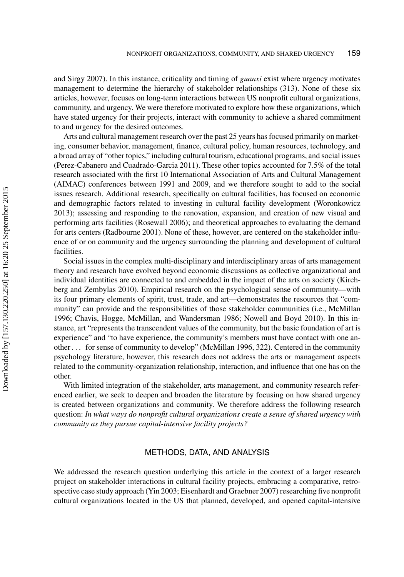and Sirgy 2007). In this instance, criticality and timing of *guanxi* exist where urgency motivates management to determine the hierarchy of stakeholder relationships (313). None of these six articles, however, focuses on long-term interactions between US nonprofit cultural organizations, community, and urgency. We were therefore motivated to explore how these organizations, which have stated urgency for their projects, interact with community to achieve a shared commitment to and urgency for the desired outcomes.

Arts and cultural management research over the past 25 years has focused primarily on marketing, consumer behavior, management, finance, cultural policy, human resources, technology, and a broad array of "other topics," including cultural tourism, educational programs, and social issues (Perez-Cabanero and Cuadrado-Garcia 2011). These other topics accounted for 7.5% of the total research associated with the first 10 International Association of Arts and Cultural Management (AIMAC) conferences between 1991 and 2009, and we therefore sought to add to the social issues research. Additional research, specifically on cultural facilities, has focused on economic and demographic factors related to investing in cultural facility development (Woronkowicz 2013); assessing and responding to the renovation, expansion, and creation of new visual and performing arts facilities (Rosewall 2006); and theoretical approaches to evaluating the demand for arts centers (Radbourne 2001). None of these, however, are centered on the stakeholder influence of or on community and the urgency surrounding the planning and development of cultural facilities.

Social issues in the complex multi-disciplinary and interdisciplinary areas of arts management theory and research have evolved beyond economic discussions as collective organizational and individual identities are connected to and embedded in the impact of the arts on society (Kirchberg and Zembylas 2010). Empirical research on the psychological sense of community—with its four primary elements of spirit, trust, trade, and art—demonstrates the resources that "community" can provide and the responsibilities of those stakeholder communities (i.e., McMillan 1996; Chavis, Hogge, McMillan, and Wandersman 1986; Nowell and Boyd 2010). In this instance, art "represents the transcendent values of the community, but the basic foundation of art is experience" and "to have experience, the community's members must have contact with one another . . . for sense of community to develop" (McMillan 1996, 322). Centered in the community psychology literature, however, this research does not address the arts or management aspects related to the community-organization relationship, interaction, and influence that one has on the other.

With limited integration of the stakeholder, arts management, and community research referenced earlier, we seek to deepen and broaden the literature by focusing on how shared urgency is created between organizations and community. We therefore address the following research question: *In what ways do nonprofit cultural organizations create a sense of shared urgency with community as they pursue capital-intensive facility projects?*

#### METHODS, DATA, AND ANALYSIS

We addressed the research question underlying this article in the context of a larger research project on stakeholder interactions in cultural facility projects, embracing a comparative, retrospective case study approach (Yin 2003; Eisenhardt and Graebner 2007) researching five nonprofit cultural organizations located in the US that planned, developed, and opened capital-intensive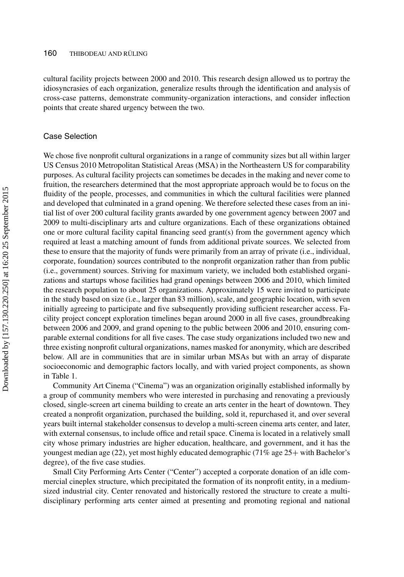#### 160 THIBODEAU AND RÜLING

cultural facility projects between 2000 and 2010. This research design allowed us to portray the idiosyncrasies of each organization, generalize results through the identification and analysis of cross-case patterns, demonstrate community-organization interactions, and consider inflection points that create shared urgency between the two.

## Case Selection

We chose five nonprofit cultural organizations in a range of community sizes but all within larger US Census 2010 Metropolitan Statistical Areas (MSA) in the Northeastern US for comparability purposes. As cultural facility projects can sometimes be decades in the making and never come to fruition, the researchers determined that the most appropriate approach would be to focus on the fluidity of the people, processes, and communities in which the cultural facilities were planned and developed that culminated in a grand opening. We therefore selected these cases from an initial list of over 200 cultural facility grants awarded by one government agency between 2007 and 2009 to multi-disciplinary arts and culture organizations. Each of these organizations obtained one or more cultural facility capital financing seed grant(s) from the government agency which required at least a matching amount of funds from additional private sources. We selected from these to ensure that the majority of funds were primarily from an array of private (i.e., individual, corporate, foundation) sources contributed to the nonprofit organization rather than from public (i.e., government) sources. Striving for maximum variety, we included both established organizations and startups whose facilities had grand openings between 2006 and 2010, which limited the research population to about 25 organizations. Approximately 15 were invited to participate in the study based on size (i.e., larger than \$3 million), scale, and geographic location, with seven initially agreeing to participate and five subsequently providing sufficient researcher access. Facility project concept exploration timelines began around 2000 in all five cases, groundbreaking between 2006 and 2009, and grand opening to the public between 2006 and 2010, ensuring comparable external conditions for all five cases. The case study organizations included two new and three existing nonprofit cultural organizations, names masked for anonymity, which are described below. All are in communities that are in similar urban MSAs but with an array of disparate socioeconomic and demographic factors locally, and with varied project components, as shown in Table 1.

Community Art Cinema ("Cinema") was an organization originally established informally by a group of community members who were interested in purchasing and renovating a previously closed, single-screen art cinema building to create an arts center in the heart of downtown. They created a nonprofit organization, purchased the building, sold it, repurchased it, and over several years built internal stakeholder consensus to develop a multi-screen cinema arts center, and later, with external consensus, to include office and retail space. Cinema is located in a relatively small city whose primary industries are higher education, healthcare, and government, and it has the youngest median age (22), yet most highly educated demographic (71% age 25+ with Bachelor's degree), of the five case studies.

Small City Performing Arts Center ("Center") accepted a corporate donation of an idle commercial cineplex structure, which precipitated the formation of its nonprofit entity, in a mediumsized industrial city. Center renovated and historically restored the structure to create a multidisciplinary performing arts center aimed at presenting and promoting regional and national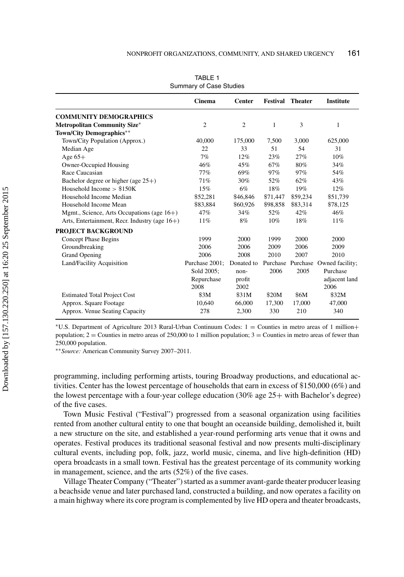|                                                  | Cinema         | <b>Center</b>  | Festival     | <b>Theater</b> | <b>Institute</b>                  |
|--------------------------------------------------|----------------|----------------|--------------|----------------|-----------------------------------|
| <b>COMMUNITY DEMOGRAPHICS</b>                    |                |                |              |                |                                   |
| Metropolitan Community Size*                     | $\overline{2}$ | $\overline{2}$ | $\mathbf{1}$ | 3              | 1                                 |
| Town/City Demographics**                         |                |                |              |                |                                   |
| Town/City Population (Approx.)                   | 40,000         | 175,000        | 7,500        | 3,000          | 625,000                           |
| Median Age                                       | 22             | 33             | 51           | 54             | 31                                |
| Age $65+$                                        | 7%             | 12%            | 23%          | 27%            | 10%                               |
| Owner-Occupied Housing                           | 46%            | 45%            | 67%          | 80%            | 34%                               |
| Race Caucasian                                   | 77%            | 69%            | 97%          | 97%            | 54%                               |
| Bachelor degree or higher (age 25+)              | 71%            | 30%            | 52%          | 62%            | 43%                               |
| Household Income $> $150K$                       | 15%            | 6%             | 18%          | 19%            | 12%                               |
| Household Income Median                          | \$52,281       | \$46,846       | \$71,447     | \$59,234       | \$51,739                          |
| Household Income Mean                            | \$83,884       | \$60,926       | \$98,858     | \$83,314       | \$78,125                          |
| Mgmt., Science, Arts Occupations (age 16+)       | 47%            | 34%            | 52%          | 42%            | 46%                               |
| Arts, Entertainment, Recr. Industry (age $16+$ ) | 11%            | 8%             | 10%          | 18%            | 11%                               |
| <b>PROJECT BACKGROUND</b>                        |                |                |              |                |                                   |
| Concept Phase Begins                             | 1999           | 2000           | 1999         | 2000           | 2000                              |
| Groundbreaking                                   | 2006           | 2006           | 2009         | 2006           | 2009                              |
| <b>Grand Opening</b>                             | 2006           | 2008           | 2010         | 2007           | 2010                              |
| Land/Facility Acquisition                        | Purchase 2001: | Donated to     |              |                | Purchase Purchase Owned facility; |
|                                                  | Sold 2005;     | non-           | 2006         | 2005           | Purchase                          |
|                                                  | Repurchase     | profit         |              |                | adjacent land                     |
|                                                  | 2008           | 2002           |              |                | 2006                              |
| <b>Estimated Total Project Cost</b>              | \$3M           | \$31M          | \$20M        | <b>\$6M</b>    | \$32M                             |
| Approx. Square Footage                           | 10,640         | 66,000         | 17,300       | 17,000         | 47,000                            |
| Approx. Venue Seating Capacity                   | 278            | 2,300          | 330          | 210            | 340                               |

TABLE 1 Summary of Case Studies

 $*U.S.$  Department of Agriculture 2013 Rural-Urban Continuum Codes: 1 = Counties in metro areas of 1 million+ population;  $2 =$  Counties in metro areas of 250,000 to 1 million population;  $3 =$  Counties in metro areas of fewer than 250,000 population.

∗∗*Source:* American Community Survey 2007–2011.

programming, including performing artists, touring Broadway productions, and educational activities. Center has the lowest percentage of households that earn in excess of \$150,000 (6%) and the lowest percentage with a four-year college education (30% age 25+ with Bachelor's degree) of the five cases.

Town Music Festival ("Festival") progressed from a seasonal organization using facilities rented from another cultural entity to one that bought an oceanside building, demolished it, built a new structure on the site, and established a year-round performing arts venue that it owns and operates. Festival produces its traditional seasonal festival and now presents multi-disciplinary cultural events, including pop, folk, jazz, world music, cinema, and live high-definition (HD) opera broadcasts in a small town. Festival has the greatest percentage of its community working in management, science, and the arts (52%) of the five cases.

Village Theater Company ("Theater") started as a summer avant-garde theater producer leasing a beachside venue and later purchased land, constructed a building, and now operates a facility on a main highway where its core program is complemented by live HD opera and theater broadcasts,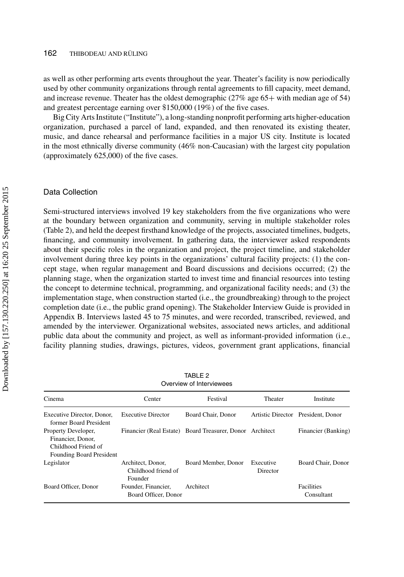#### 162 THIBODEAU AND RÜLING

as well as other performing arts events throughout the year. Theater's facility is now periodically used by other community organizations through rental agreements to fill capacity, meet demand, and increase revenue. Theater has the oldest demographic  $(27\%$  age  $65+$  with median age of 54) and greatest percentage earning over \$150,000 (19%) of the five cases.

Big City Arts Institute ("Institute"), a long-standing nonprofit performing arts higher-education organization, purchased a parcel of land, expanded, and then renovated its existing theater, music, and dance rehearsal and performance facilities in a major US city. Institute is located in the most ethnically diverse community (46% non-Caucasian) with the largest city population (approximately 625,000) of the five cases.

#### Data Collection

Semi-structured interviews involved 19 key stakeholders from the five organizations who were at the boundary between organization and community, serving in multiple stakeholder roles (Table 2), and held the deepest firsthand knowledge of the projects, associated timelines, budgets, financing, and community involvement. In gathering data, the interviewer asked respondents about their specific roles in the organization and project, the project timeline, and stakeholder involvement during three key points in the organizations' cultural facility projects: (1) the concept stage, when regular management and Board discussions and decisions occurred; (2) the planning stage, when the organization started to invest time and financial resources into testing the concept to determine technical, programming, and organizational facility needs; and (3) the implementation stage, when construction started (i.e., the groundbreaking) through to the project completion date (i.e., the public grand opening). The Stakeholder Interview Guide is provided in Appendix B. Interviews lasted 45 to 75 minutes, and were recorded, transcribed, reviewed, and amended by the interviewer. Organizational websites, associated news articles, and additional public data about the community and project, as well as informant-provided information (i.e., facility planning studies, drawings, pictures, videos, government grant applications, financial

| Overview of Interviewees                                                                    |                                                     |                                                          |                       |                                    |
|---------------------------------------------------------------------------------------------|-----------------------------------------------------|----------------------------------------------------------|-----------------------|------------------------------------|
| Cinema                                                                                      | Center                                              | Festival                                                 | Theater               | Institute                          |
| Executive Director, Donor,<br>former Board President                                        | <b>Executive Director</b>                           | Board Chair, Donor                                       |                       | Artistic Director President, Donor |
| Property Developer,<br>Financier, Donor.<br>Childhood Friend of<br>Founding Board President |                                                     | Financier (Real Estate) Board Treasurer, Donor Architect |                       | Financier (Banking)                |
| Legislator                                                                                  | Architect, Donor,<br>Childhood friend of<br>Founder | Board Member, Donor                                      | Executive<br>Director | Board Chair, Donor                 |
| Board Officer, Donor                                                                        | Founder, Financier,<br>Board Officer, Donor         | Architect                                                |                       | <b>Facilities</b><br>Consultant    |

| TABLE 2                 |  |
|-------------------------|--|
| Overview of Interviewee |  |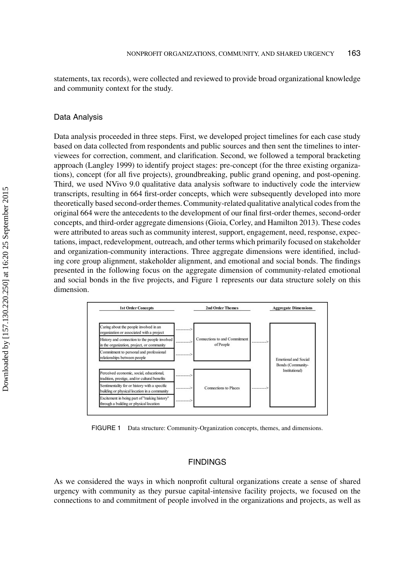statements, tax records), were collected and reviewed to provide broad organizational knowledge and community context for the study.

#### Data Analysis

Data analysis proceeded in three steps. First, we developed project timelines for each case study based on data collected from respondents and public sources and then sent the timelines to interviewees for correction, comment, and clarification. Second, we followed a temporal bracketing approach (Langley 1999) to identify project stages: pre-concept (for the three existing organizations), concept (for all five projects), groundbreaking, public grand opening, and post-opening. Third, we used NVivo 9.0 qualitative data analysis software to inductively code the interview transcripts, resulting in 664 first-order concepts, which were subsequently developed into more theoretically based second-order themes. Community-related qualitative analytical codes from the original 664 were the antecedents to the development of our final first-order themes, second-order concepts, and third-order aggregate dimensions (Gioia, Corley, and Hamilton 2013). These codes were attributed to areas such as community interest, support, engagement, need, response, expectations, impact, redevelopment, outreach, and other terms which primarily focused on stakeholder and organization-community interactions. Three aggregate dimensions were identified, including core group alignment, stakeholder alignment, and emotional and social bonds. The findings presented in the following focus on the aggregate dimension of community-related emotional and social bonds in the five projects, and Figure 1 represents our data structure solely on this dimension.



FIGURE 1 Data structure: Community-Organization concepts, themes, and dimensions.

#### **FINDINGS**

As we considered the ways in which nonprofit cultural organizations create a sense of shared urgency with community as they pursue capital-intensive facility projects, we focused on the connections to and commitment of people involved in the organizations and projects, as well as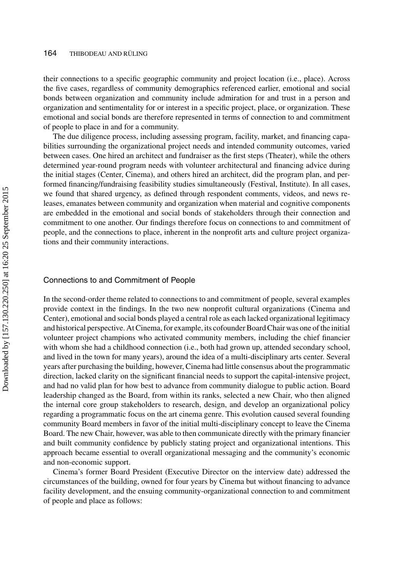their connections to a specific geographic community and project location (i.e., place). Across the five cases, regardless of community demographics referenced earlier, emotional and social bonds between organization and community include admiration for and trust in a person and organization and sentimentality for or interest in a specific project, place, or organization. These emotional and social bonds are therefore represented in terms of connection to and commitment of people to place in and for a community.

The due diligence process, including assessing program, facility, market, and financing capabilities surrounding the organizational project needs and intended community outcomes, varied between cases. One hired an architect and fundraiser as the first steps (Theater), while the others determined year-round program needs with volunteer architectural and financing advice during the initial stages (Center, Cinema), and others hired an architect, did the program plan, and performed financing/fundraising feasibility studies simultaneously (Festival, Institute). In all cases, we found that shared urgency, as defined through respondent comments, videos, and news releases, emanates between community and organization when material and cognitive components are embedded in the emotional and social bonds of stakeholders through their connection and commitment to one another. Our findings therefore focus on connections to and commitment of people, and the connections to place, inherent in the nonprofit arts and culture project organizations and their community interactions.

#### Connections to and Commitment of People

In the second-order theme related to connections to and commitment of people, several examples provide context in the findings. In the two new nonprofit cultural organizations (Cinema and Center), emotional and social bonds played a central role as each lacked organizational legitimacy and historical perspective. At Cinema, for example, its cofounder Board Chair was one of the initial volunteer project champions who activated community members, including the chief financier with whom she had a childhood connection (i.e., both had grown up, attended secondary school, and lived in the town for many years), around the idea of a multi-disciplinary arts center. Several years after purchasing the building, however, Cinema had little consensus about the programmatic direction, lacked clarity on the significant financial needs to support the capital-intensive project, and had no valid plan for how best to advance from community dialogue to public action. Board leadership changed as the Board, from within its ranks, selected a new Chair, who then aligned the internal core group stakeholders to research, design, and develop an organizational policy regarding a programmatic focus on the art cinema genre. This evolution caused several founding community Board members in favor of the initial multi-disciplinary concept to leave the Cinema Board. The new Chair, however, was able to then communicate directly with the primary financier and built community confidence by publicly stating project and organizational intentions. This approach became essential to overall organizational messaging and the community's economic and non-economic support.

Cinema's former Board President (Executive Director on the interview date) addressed the circumstances of the building, owned for four years by Cinema but without financing to advance facility development, and the ensuing community-organizational connection to and commitment of people and place as follows: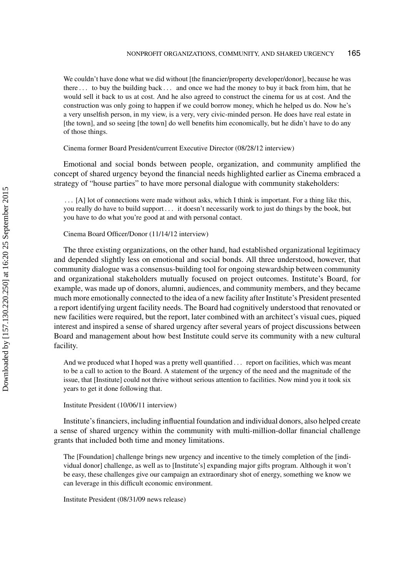We couldn't have done what we did without [the financier/property developer/donor], because he was there . . . to buy the building back . . . and once we had the money to buy it back from him, that he would sell it back to us at cost. And he also agreed to construct the cinema for us at cost. And the construction was only going to happen if we could borrow money, which he helped us do. Now he's a very unselfish person, in my view, is a very, very civic-minded person. He does have real estate in [the town], and so seeing [the town] do well benefits him economically, but he didn't have to do any of those things.

Cinema former Board President/current Executive Director (08/28/12 interview)

Emotional and social bonds between people, organization, and community amplified the concept of shared urgency beyond the financial needs highlighted earlier as Cinema embraced a strategy of "house parties" to have more personal dialogue with community stakeholders:

. . . [A] lot of connections were made without asks, which I think is important. For a thing like this, you really do have to build support . . . it doesn't necessarily work to just do things by the book, but you have to do what you're good at and with personal contact.

#### Cinema Board Officer/Donor (11/14/12 interview)

The three existing organizations, on the other hand, had established organizational legitimacy and depended slightly less on emotional and social bonds. All three understood, however, that community dialogue was a consensus-building tool for ongoing stewardship between community and organizational stakeholders mutually focused on project outcomes. Institute's Board, for example, was made up of donors, alumni, audiences, and community members, and they became much more emotionally connected to the idea of a new facility after Institute's President presented a report identifying urgent facility needs. The Board had cognitively understood that renovated or new facilities were required, but the report, later combined with an architect's visual cues, piqued interest and inspired a sense of shared urgency after several years of project discussions between Board and management about how best Institute could serve its community with a new cultural facility.

And we produced what I hoped was a pretty well quantified . . . report on facilities, which was meant to be a call to action to the Board. A statement of the urgency of the need and the magnitude of the issue, that [Institute] could not thrive without serious attention to facilities. Now mind you it took six years to get it done following that.

#### Institute President (10/06/11 interview)

Institute's financiers, including influential foundation and individual donors, also helped create a sense of shared urgency within the community with multi-million-dollar financial challenge grants that included both time and money limitations.

The [Foundation] challenge brings new urgency and incentive to the timely completion of the [individual donor] challenge, as well as to [Institute's] expanding major gifts program. Although it won't be easy, these challenges give our campaign an extraordinary shot of energy, something we know we can leverage in this difficult economic environment.

Institute President (08/31/09 news release)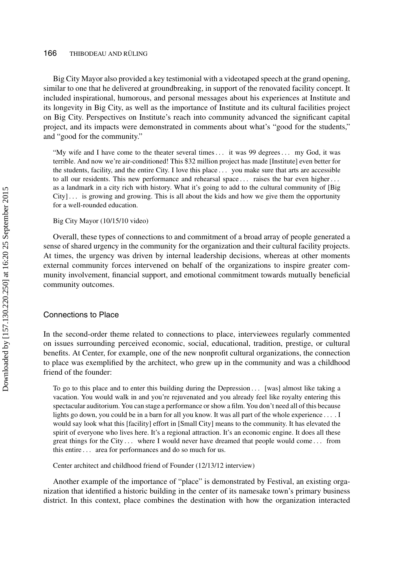#### 166 THIBODEAU AND RÜLING

Big City Mayor also provided a key testimonial with a videotaped speech at the grand opening, similar to one that he delivered at groundbreaking, in support of the renovated facility concept. It included inspirational, humorous, and personal messages about his experiences at Institute and its longevity in Big City, as well as the importance of Institute and its cultural facilities project on Big City. Perspectives on Institute's reach into community advanced the significant capital project, and its impacts were demonstrated in comments about what's "good for the students," and "good for the community."

"My wife and I have come to the theater several times . . . it was 99 degrees . . . my God, it was terrible. And now we're air-conditioned! This \$32 million project has made [Institute] even better for the students, facility, and the entire City. I love this place . . . you make sure that arts are accessible to all our residents. This new performance and rehearsal space . . . raises the bar even higher . . . as a landmark in a city rich with history. What it's going to add to the cultural community of [Big City] . . . is growing and growing. This is all about the kids and how we give them the opportunity for a well-rounded education.

Big City Mayor (10/15/10 video)

Overall, these types of connections to and commitment of a broad array of people generated a sense of shared urgency in the community for the organization and their cultural facility projects. At times, the urgency was driven by internal leadership decisions, whereas at other moments external community forces intervened on behalf of the organizations to inspire greater community involvement, financial support, and emotional commitment towards mutually beneficial community outcomes.

#### Connections to Place

In the second-order theme related to connections to place, interviewees regularly commented on issues surrounding perceived economic, social, educational, tradition, prestige, or cultural benefits. At Center, for example, one of the new nonprofit cultural organizations, the connection to place was exemplified by the architect, who grew up in the community and was a childhood friend of the founder:

To go to this place and to enter this building during the Depression . . . [was] almost like taking a vacation. You would walk in and you're rejuvenated and you already feel like royalty entering this spectacular auditorium. You can stage a performance or show a film. You don't need all of this because lights go down, you could be in a barn for all you know. It was all part of the whole experience . . . . I would say look what this [facility] effort in [Small City] means to the community. It has elevated the spirit of everyone who lives here. It's a regional attraction. It's an economic engine. It does all these great things for the City ... where I would never have dreamed that people would come ... from this entire . . . area for performances and do so much for us.

Center architect and childhood friend of Founder (12/13/12 interview)

Another example of the importance of "place" is demonstrated by Festival, an existing organization that identified a historic building in the center of its namesake town's primary business district. In this context, place combines the destination with how the organization interacted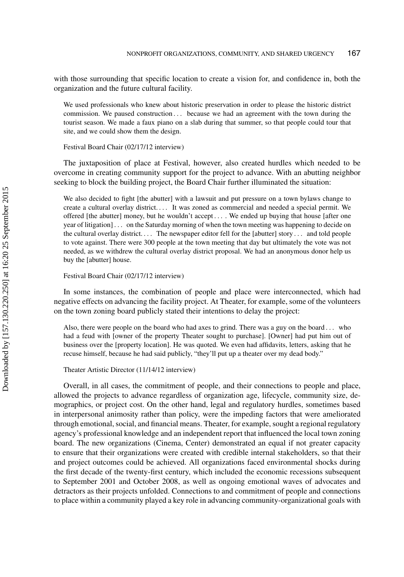with those surrounding that specific location to create a vision for, and confidence in, both the organization and the future cultural facility.

We used professionals who knew about historic preservation in order to please the historic district commission. We paused construction . . . because we had an agreement with the town during the tourist season. We made a faux piano on a slab during that summer, so that people could tour that site, and we could show them the design.

#### Festival Board Chair (02/17/12 interview)

The juxtaposition of place at Festival, however, also created hurdles which needed to be overcome in creating community support for the project to advance. With an abutting neighbor seeking to block the building project, the Board Chair further illuminated the situation:

We also decided to fight [the abutter] with a lawsuit and put pressure on a town bylaws change to create a cultural overlay district. . . . It was zoned as commercial and needed a special permit. We offered [the abutter] money, but he wouldn't accept . . . . We ended up buying that house [after one year of litigation] . . . on the Saturday morning of when the town meeting was happening to decide on the cultural overlay district. . . . The newspaper editor fell for the [abutter] story . . . and told people to vote against. There were 300 people at the town meeting that day but ultimately the vote was not needed, as we withdrew the cultural overlay district proposal. We had an anonymous donor help us buy the [abutter] house.

#### Festival Board Chair (02/17/12 interview)

In some instances, the combination of people and place were interconnected, which had negative effects on advancing the facility project. At Theater, for example, some of the volunteers on the town zoning board publicly stated their intentions to delay the project:

Also, there were people on the board who had axes to grind. There was a guy on the board . . . who had a feud with [owner of the property Theater sought to purchase]. [Owner] had put him out of business over the [property location]. He was quoted. We even had affidavits, letters, asking that he recuse himself, because he had said publicly, "they'll put up a theater over my dead body."

Theater Artistic Director (11/14/12 interview)

Overall, in all cases, the commitment of people, and their connections to people and place, allowed the projects to advance regardless of organization age, lifecycle, community size, demographics, or project cost. On the other hand, legal and regulatory hurdles, sometimes based in interpersonal animosity rather than policy, were the impeding factors that were ameliorated through emotional, social, and financial means. Theater, for example, sought a regional regulatory agency's professional knowledge and an independent report that influenced the local town zoning board. The new organizations (Cinema, Center) demonstrated an equal if not greater capacity to ensure that their organizations were created with credible internal stakeholders, so that their and project outcomes could be achieved. All organizations faced environmental shocks during the first decade of the twenty-first century, which included the economic recessions subsequent to September 2001 and October 2008, as well as ongoing emotional waves of advocates and detractors as their projects unfolded. Connections to and commitment of people and connections to place within a community played a key role in advancing community-organizational goals with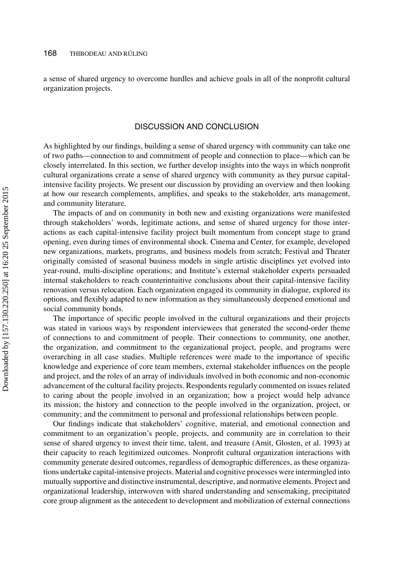a sense of shared urgency to overcome hurdles and achieve goals in all of the nonprofit cultural organization projects.

### DISCUSSION AND CONCLUSION

As highlighted by our findings, building a sense of shared urgency with community can take one of two paths—connection to and commitment of people and connection to place—which can be closely interrelated. In this section, we further develop insights into the ways in which nonprofit cultural organizations create a sense of shared urgency with community as they pursue capitalintensive facility projects. We present our discussion by providing an overview and then looking at how our research complements, amplifies, and speaks to the stakeholder, arts management, and community literature.

The impacts of and on community in both new and existing organizations were manifested through stakeholders' words, legitimate actions, and sense of shared urgency for those interactions as each capital-intensive facility project built momentum from concept stage to grand opening, even during times of environmental shock. Cinema and Center, for example, developed new organizations, markets, programs, and business models from scratch; Festival and Theater originally consisted of seasonal business models in single artistic disciplines yet evolved into year-round, multi-discipline operations; and Institute's external stakeholder experts persuaded internal stakeholders to reach counterintuitive conclusions about their capital-intensive facility renovation versus relocation. Each organization engaged its community in dialogue, explored its options, and flexibly adapted to new information as they simultaneously deepened emotional and social community bonds.

The importance of specific people involved in the cultural organizations and their projects was stated in various ways by respondent interviewees that generated the second-order theme of connections to and commitment of people. Their connections to community, one another, the organization, and commitment to the organizational project, people, and programs were overarching in all case studies. Multiple references were made to the importance of specific knowledge and experience of core team members, external stakeholder influences on the people and project, and the roles of an array of individuals involved in both economic and non-economic advancement of the cultural facility projects. Respondents regularly commented on issues related to caring about the people involved in an organization; how a project would help advance its mission; the history and connection to the people involved in the organization, project, or community; and the commitment to personal and professional relationships between people.

Our findings indicate that stakeholders' cognitive, material, and emotional connection and commitment to an organization's people, projects, and community are in correlation to their sense of shared urgency to invest their time, talent, and treasure (Amit, Glosten, et al. 1993) at their capacity to reach legitimized outcomes. Nonprofit cultural organization interactions with community generate desired outcomes, regardless of demographic differences, as these organizations undertake capital-intensive projects. Material and cognitive processes were intermingled into mutually supportive and distinctive instrumental, descriptive, and normative elements. Project and organizational leadership, interwoven with shared understanding and sensemaking, precipitated core group alignment as the antecedent to development and mobilization of external connections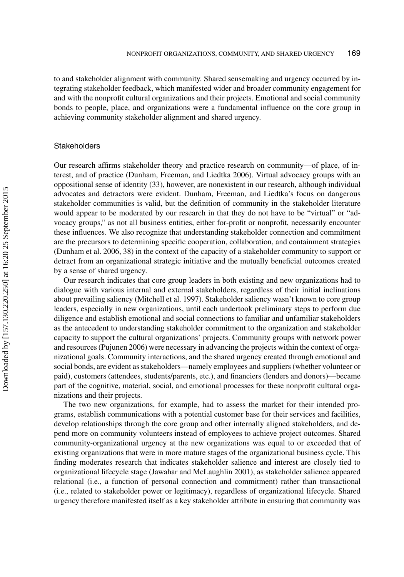to and stakeholder alignment with community. Shared sensemaking and urgency occurred by integrating stakeholder feedback, which manifested wider and broader community engagement for and with the nonprofit cultural organizations and their projects. Emotional and social community bonds to people, place, and organizations were a fundamental influence on the core group in achieving community stakeholder alignment and shared urgency.

#### **Stakeholders**

Our research affirms stakeholder theory and practice research on community—of place, of interest, and of practice (Dunham, Freeman, and Liedtka 2006). Virtual advocacy groups with an oppositional sense of identity (33), however, are nonexistent in our research, although individual advocates and detractors were evident. Dunham, Freeman, and Liedtka's focus on dangerous stakeholder communities is valid, but the definition of community in the stakeholder literature would appear to be moderated by our research in that they do not have to be "virtual" or "advocacy groups," as not all business entities, either for-profit or nonprofit, necessarily encounter these influences. We also recognize that understanding stakeholder connection and commitment are the precursors to determining specific cooperation, collaboration, and containment strategies (Dunham et al. 2006, 38) in the context of the capacity of a stakeholder community to support or detract from an organizational strategic initiative and the mutually beneficial outcomes created by a sense of shared urgency.

Our research indicates that core group leaders in both existing and new organizations had to dialogue with various internal and external stakeholders, regardless of their initial inclinations about prevailing saliency (Mitchell et al. 1997). Stakeholder saliency wasn't known to core group leaders, especially in new organizations, until each undertook preliminary steps to perform due diligence and establish emotional and social connections to familiar and unfamiliar stakeholders as the antecedent to understanding stakeholder commitment to the organization and stakeholder capacity to support the cultural organizations' projects. Community groups with network power and resources (Pujunen 2006) were necessary in advancing the projects within the context of organizational goals. Community interactions, and the shared urgency created through emotional and social bonds, are evident as stakeholders—namely employees and suppliers (whether volunteer or paid), customers (attendees, students/parents, etc.), and financiers (lenders and donors)—became part of the cognitive, material, social, and emotional processes for these nonprofit cultural organizations and their projects.

The two new organizations, for example, had to assess the market for their intended programs, establish communications with a potential customer base for their services and facilities, develop relationships through the core group and other internally aligned stakeholders, and depend more on community volunteers instead of employees to achieve project outcomes. Shared community-organizational urgency at the new organizations was equal to or exceeded that of existing organizations that were in more mature stages of the organizational business cycle. This finding moderates research that indicates stakeholder salience and interest are closely tied to organizational lifecycle stage (Jawahar and McLaughlin 2001), as stakeholder salience appeared relational (i.e., a function of personal connection and commitment) rather than transactional (i.e., related to stakeholder power or legitimacy), regardless of organizational lifecycle. Shared urgency therefore manifested itself as a key stakeholder attribute in ensuring that community was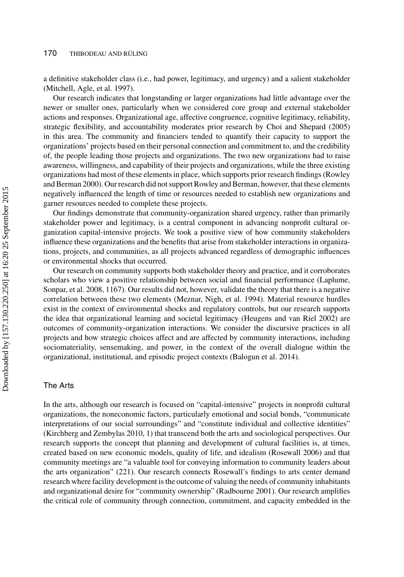a definitive stakeholder class (i.e., had power, legitimacy, and urgency) and a salient stakeholder (Mitchell, Agle, et al. 1997).

Our research indicates that longstanding or larger organizations had little advantage over the newer or smaller ones, particularly when we considered core group and external stakeholder actions and responses. Organizational age, affective congruence, cognitive legitimacy, reliability, strategic flexibility, and accountability moderates prior research by Choi and Shepard (2005) in this area. The community and financiers tended to quantify their capacity to support the organizations' projects based on their personal connection and commitment to, and the credibility of, the people leading those projects and organizations. The two new organizations had to raise awareness, willingness, and capability of their projects and organizations, while the three existing organizations had most of these elements in place, which supports prior research findings (Rowley and Berman 2000). Our research did not support Rowley and Berman, however, that these elements negatively influenced the length of time or resources needed to establish new organizations and garner resources needed to complete these projects.

Our findings demonstrate that community-organization shared urgency, rather than primarily stakeholder power and legitimacy, is a central component in advancing nonprofit cultural organization capital-intensive projects. We took a positive view of how community stakeholders influence these organizations and the benefits that arise from stakeholder interactions in organizations, projects, and communities, as all projects advanced regardless of demographic influences or environmental shocks that occurred.

Our research on community supports both stakeholder theory and practice, and it corroborates scholars who view a positive relationship between social and financial performance (Laplume, Sonpar, et al. 2008, 1167). Our results did not, however, validate the theory that there is a negative correlation between these two elements (Meznar, Nigh, et al. 1994). Material resource hurdles exist in the context of environmental shocks and regulatory controls, but our research supports the idea that organizational learning and societal legitimacy (Heugens and van Riel 2002) are outcomes of community-organization interactions. We consider the discursive practices in all projects and how strategic choices affect and are affected by community interactions, including sociomateriality, sensemaking, and power, in the context of the overall dialogue within the organizational, institutional, and episodic project contexts (Balogun et al. 2014).

#### The Arts

In the arts, although our research is focused on "capital-intensive" projects in nonprofit cultural organizations, the noneconomic factors, particularly emotional and social bonds, "communicate interpretations of our social surroundings" and "constitute individual and collective identities" (Kirchberg and Zembylas 2010, 1) that transcend both the arts and sociological perspectives. Our research supports the concept that planning and development of cultural facilities is, at times, created based on new economic models, quality of life, and idealism (Rosewall 2006) and that community meetings are "a valuable tool for conveying information to community leaders about the arts organization" (221). Our research connects Rosewall's findings to arts center demand research where facility development is the outcome of valuing the needs of community inhabitants and organizational desire for "community ownership" (Radbourne 2001). Our research amplifies the critical role of community through connection, commitment, and capacity embedded in the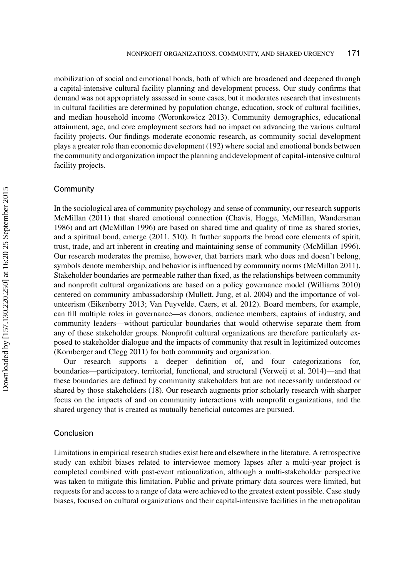mobilization of social and emotional bonds, both of which are broadened and deepened through a capital-intensive cultural facility planning and development process. Our study confirms that demand was not appropriately assessed in some cases, but it moderates research that investments in cultural facilities are determined by population change, education, stock of cultural facilities, and median household income (Woronkowicz 2013). Community demographics, educational attainment, age, and core employment sectors had no impact on advancing the various cultural facility projects. Our findings moderate economic research, as community social development plays a greater role than economic development (192) where social and emotional bonds between the community and organization impact the planning and development of capital-intensive cultural facility projects.

#### **Community**

In the sociological area of community psychology and sense of community, our research supports McMillan (2011) that shared emotional connection (Chavis, Hogge, McMillan, Wandersman 1986) and art (McMillan 1996) are based on shared time and quality of time as shared stories, and a spiritual bond, emerge (2011, 510). It further supports the broad core elements of spirit, trust, trade, and art inherent in creating and maintaining sense of community (McMillan 1996). Our research moderates the premise, however, that barriers mark who does and doesn't belong, symbols denote membership, and behavior is influenced by community norms (McMillan 2011). Stakeholder boundaries are permeable rather than fixed, as the relationships between community and nonprofit cultural organizations are based on a policy governance model (Williams 2010) centered on community ambassadorship (Mullett, Jung, et al. 2004) and the importance of volunteerism (Eikenberry 2013; Van Puyvelde, Caers, et al. 2012). Board members, for example, can fill multiple roles in governance—as donors, audience members, captains of industry, and community leaders—without particular boundaries that would otherwise separate them from any of these stakeholder groups. Nonprofit cultural organizations are therefore particularly exposed to stakeholder dialogue and the impacts of community that result in legitimized outcomes (Kornberger and Clegg 2011) for both community and organization.

Our research supports a deeper definition of, and four categorizations for, boundaries—participatory, territorial, functional, and structural (Verweij et al. 2014)—and that these boundaries are defined by community stakeholders but are not necessarily understood or shared by those stakeholders (18). Our research augments prior scholarly research with sharper focus on the impacts of and on community interactions with nonprofit organizations, and the shared urgency that is created as mutually beneficial outcomes are pursued.

#### Conclusion

Limitations in empirical research studies exist here and elsewhere in the literature. A retrospective study can exhibit biases related to interviewee memory lapses after a multi-year project is completed combined with past-event rationalization, although a multi-stakeholder perspective was taken to mitigate this limitation. Public and private primary data sources were limited, but requests for and access to a range of data were achieved to the greatest extent possible. Case study biases, focused on cultural organizations and their capital-intensive facilities in the metropolitan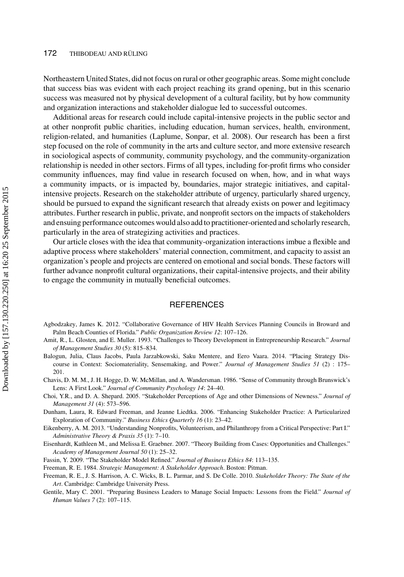Northeastern United States, did not focus on rural or other geographic areas. Some might conclude that success bias was evident with each project reaching its grand opening, but in this scenario success was measured not by physical development of a cultural facility, but by how community and organization interactions and stakeholder dialogue led to successful outcomes.

Additional areas for research could include capital-intensive projects in the public sector and at other nonprofit public charities, including education, human services, health, environment, religion-related, and humanities (Laplume, Sonpar, et al. 2008). Our research has been a first step focused on the role of community in the arts and culture sector, and more extensive research in sociological aspects of community, community psychology, and the community-organization relationship is needed in other sectors. Firms of all types, including for-profit firms who consider community influences, may find value in research focused on when, how, and in what ways a community impacts, or is impacted by, boundaries, major strategic initiatives, and capitalintensive projects. Research on the stakeholder attribute of urgency, particularly shared urgency, should be pursued to expand the significant research that already exists on power and legitimacy attributes. Further research in public, private, and nonprofit sectors on the impacts of stakeholders and ensuing performance outcomes would also add to practitioner-oriented and scholarly research, particularly in the area of strategizing activities and practices.

Our article closes with the idea that community-organization interactions imbue a flexible and adaptive process where stakeholders' material connection, commitment, and capacity to assist an organization's people and projects are centered on emotional and social bonds. These factors will further advance nonprofit cultural organizations, their capital-intensive projects, and their ability to engage the community in mutually beneficial outcomes.

## **REFERENCES**

- Agbodzakey, James K. 2012. "Collaborative Governance of HIV Health Services Planning Councils in Broward and Palm Beach Counties of Florida." *Public Organization Review 12*: 107–126.
- Amit, R., L. Glosten, and E. Muller. 1993. "Challenges to Theory Development in Entrepreneurship Research." *Journal of Management Studies 30* (5): 815–834.
- Balogun, Julia, Claus Jacobs, Paula Jarzabkowski, Saku Mentere, and Eero Vaara. 2014. "Placing Strategy Discourse in Context: Sociomateriality, Sensemaking, and Power." *Journal of Management Studies 51* (2) : 175– 201.
- Chavis, D. M. M., J. H. Hogge, D. W. McMillan, and A. Wandersman. 1986. "Sense of Community through Brunswick's Lens: A First Look." *Journal of Community Psychology 14*: 24–40.
- Choi, Y.R., and D. A. Shepard. 2005. "Stakeholder Perceptions of Age and other Dimensions of Newness." *Journal of Management 31* (4): 573–596.
- Dunham, Laura, R. Edward Freeman, and Jeanne Liedtka. 2006. "Enhancing Stakeholder Practice: A Particularized Exploration of Community." *Business Ethics Quarterly 16* (1): 23–42.
- Eikenberry, A. M. 2013. "Understanding Nonprofits, Volunteerism, and Philanthropy from a Critical Perspective: Part I." *Administrative Theory & Praxis 35* (1): 7–10.
- Eisenhardt, Kathleen M., and Melissa E. Graebner. 2007. "Theory Building from Cases: Opportunities and Challenges." *Academy of Management Journal 50* (1): 25–32.
- Fassin, Y. 2009. "The Stakeholder Model Refined." *Journal of Business Ethics 84*: 113–135.
- Freeman, R. E. 1984. *Strategic Management: A Stakeholder Approach*. Boston: Pitman.
- Freeman, R. E., J. S. Harrison, A. C. Wicks, B. L. Parmar, and S. De Colle. 2010. *Stakeholder Theory: The State of the Art*. Cambridge: Cambridge University Press.
- Gentile, Mary C. 2001. "Preparing Business Leaders to Manage Social Impacts: Lessons from the Field." *Journal of Human Values 7* (2): 107–115.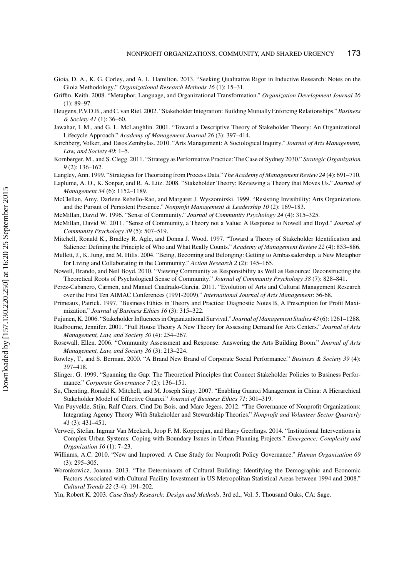Gioia, D. A., K. G. Corley, and A. L. Hamilton. 2013. "Seeking Qualitative Rigor in Inductive Research: Notes on the Gioia Methodology." *Organizational Research Methods 16* (1): 15–31.

Griffin, Keith. 2008. "Metaphor, Language, and Organizational Transformation." *Organization Development Journal 26* (1): 89–97.

- Heugens, P.V.D.B., and C. van Riel. 2002. "Stakeholder Integration: Building Mutually Enforcing Relationships." *Business & Society 41* (1): 36–60.
- Jawahar, I. M., and G. L. McLaughlin. 2001. "Toward a Descriptive Theory of Stakeholder Theory: An Organizational Lifecycle Approach." *Academy of Management Journal 26* (3): 397–414.
- Kirchberg, Volker, and Tasos Zembylas. 2010. "Arts Management: A Sociological Inquiry." *Journal of Arts Management, Law, and Society 40*: 1–5.
- Kornberger, M., and S. Clegg. 2011. "Strategy as Performative Practice: The Case of Sydney 2030." *Strategic Organization 9* (2): 136–162.

Langley, Ann. 1999. "Strategies for Theorizing from Process Data." *The Academy of Management Review 24* (4): 691–710.

Laplume, A. O., K. Sonpar, and R. A. Litz. 2008. "Stakeholder Theory: Reviewing a Theory that Moves Us." *Journal of Management 34* (6): 1152–1189.

McClellan, Amy, Darlene Rebello-Rao, and Margaret J. Wyszomirski. 1999. "Resisting Invisibility: Arts Organizations and the Pursuit of Persistent Presence." *Nonprofit Management & Leadership 10* (2): 169–183.

- McMillan, David W. 1996. "Sense of Community." *Journal of Community Psychology 24* (4): 315–325.
- McMillan, David W. 2011. "Sense of Community, a Theory not a Value: A Response to Nowell and Boyd." *Journal of Community Psychology 39* (5): 507–519.
- Mitchell, Ronald K., Bradley R. Agle, and Donna J. Wood. 1997. "Toward a Theory of Stakeholder Identification and Salience: Defining the Principle of Who and What Really Counts." *Academy of Management Review 22* (4): 853–886.
- Mullett, J., K. Jung, and M. Hills. 2004. "Being, Becoming and Belonging: Getting to Ambassadorship, a New Metaphor for Living and Collaborating in the Community." *Action Research 2* (2): 145–165.
- Nowell, Brando, and Neil Boyd. 2010. "Viewing Community as Responsibility as Well as Resource: Deconstructing the Theoretical Roots of Psychological Sense of Community." *Journal of Community Psychology 38* (7): 828–841.
- Perez-Cabanero, Carmen, and Manuel Cuadrado-Garcia. 2011. "Evolution of Arts and Cultural Management Research over the First Ten AIMAC Conferences (1991-2009)." *International Journal of Arts Management*: 56-68.
- Primeaux, Patrick. 1997. "Business Ethics in Theory and Practice: Diagnostic Notes B, A Prescription for Profit Maximization." *Journal of Business Ethics 16* (3): 315–322.
- Pujunen, K. 2006. "Stakeholder Influences in Organizational Survival." *Journal of Management Studies 43* (6): 1261–1288.
- Radbourne, Jennifer. 2001. "Full House Theory A New Theory for Assessing Demand for Arts Centers." *Journal of Arts Management, Law, and Society 30* (4): 254–267.
- Rosewall, Ellen. 2006. "Community Assessment and Response: Answering the Arts Building Boom." *Journal of Arts Management, Law, and Society 36* (3): 213–224.
- Rowley, T., and S. Berman. 2000. "A Brand New Brand of Corporate Social Performance." *Business & Society 39* (4): 397–418.
- Slinger, G. 1999. "Spanning the Gap: The Theoretical Principles that Connect Stakeholder Policies to Business Performance." *Corporate Governance 7* (2): 136–151.
- Su, Chenting, Ronald K. Mitchell, and M. Joseph Sirgy. 2007. "Enabling Guanxi Management in China: A Hierarchical Stakeholder Model of Effective Guanxi." *Journal of Business Ethics 71*: 301–319.
- Van Puyvelde, Stijn, Ralf Caers, Cind Du Bois, and Marc Jegers. 2012. "The Governance of Nonprofit Organizations: Integrating Agency Theory With Stakeholder and Stewardship Theories." *Nonprofit and Volunteer Sector Quarterly 41* (3): 431–451.
- Verweij, Stefan, Ingmar Van Meekerk, Joop F. M. Koppenjan, and Harry Geerlings. 2014. "Institutional Interventions in Complex Urban Systems: Coping with Boundary Issues in Urban Planning Projects." *Emergence: Complexity and Organization 16* (1): 7–23.
- Williams, A.C. 2010. "New and Improved: A Case Study for Nonprofit Policy Governance." *Human Organization 69* (3): 295–305.
- Woronkowicz, Joanna. 2013. "The Determinants of Cultural Building: Identifying the Demographic and Economic Factors Associated with Cultural Facility Investment in US Metropolitan Statistical Areas between 1994 and 2008." *Cultural Trends 22* (3-4): 191–202.

Yin, Robert K. 2003. *Case Study Research: Design and Methods*, 3rd ed., Vol. 5. Thousand Oaks, CA: Sage.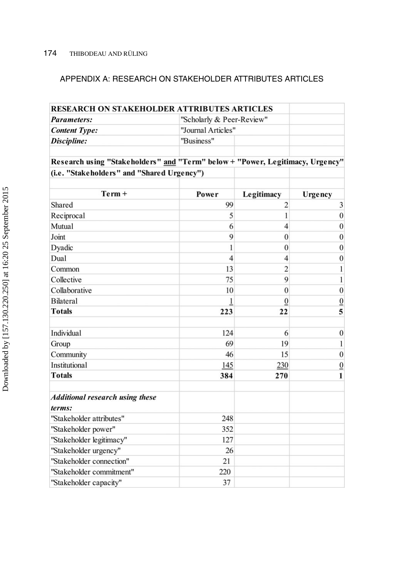## APPENDIX A: RESEARCH ON STAKEHOLDER ATTRIBUTES ARTICLES

|                      | <b>RESEARCH ON STAKEHOLDER ATTRIBUTES ARTICLES</b> |  |
|----------------------|----------------------------------------------------|--|
| Parameters:          | "Scholarly & Peer-Review"                          |  |
| <b>Content Type:</b> | "Journal Articles"                                 |  |
| Discipline:          | "Business"                                         |  |
|                      |                                                    |  |

## Research using "Stakeholders" and "Term" below + "Power, Legitimacy, Urgency" (i.e. "Stakeholders" and "Shared Urgency")

| $Term +$                               | Power | Legitimacy              | Urgency          |
|----------------------------------------|-------|-------------------------|------------------|
| Shared                                 | 99    | $\overline{\mathbf{c}}$ | 3                |
| Reciprocal                             | 5     | 1                       | $\mathbf{0}$     |
| Mutual                                 | 6     | 4                       | $\mathbf{0}$     |
| Joint                                  | 9     | $\mathbf{0}$            | $\boldsymbol{0}$ |
| Dyadic                                 | 1     | $\mathbf{0}$            | $\mathbf{0}$     |
| Dual                                   | 4     | 4                       | $\boldsymbol{0}$ |
| Common                                 | 13    | $\overline{c}$          | $\mathbf{1}$     |
| Collective                             | 75    | 9                       | 1                |
| Collaborative                          | 10    | $\boldsymbol{0}$        | $\boldsymbol{0}$ |
| <b>Bilateral</b>                       | 1     | 0                       | $\overline{0}$   |
| <b>Totals</b>                          | 223   | 22                      | 5                |
| Individual                             | 124   | 6                       | $\mathbf{0}$     |
| Group                                  | 69    | 19                      | $\mathbf{1}$     |
| Community                              | 46    | 15                      | $\mathbf{0}$     |
| Institutional                          | 145   | 230                     | $\underline{0}$  |
| <b>Totals</b>                          | 384   | 270                     | $\mathbf{1}$     |
| <b>Additional research using these</b> |       |                         |                  |
| terms:                                 |       |                         |                  |
| "Stakeholder attributes"               | 248   |                         |                  |
| "Stakeholder power"                    | 352   |                         |                  |
| "Stakeholder legitimacy"               | 127   |                         |                  |
| "Stakeholder urgency"                  | 26    |                         |                  |
| "Stakeholder connection"               | 21    |                         |                  |
| "Stakeholder commitment"               | 220   |                         |                  |
| "Stakeholder capacity"                 | 37    |                         |                  |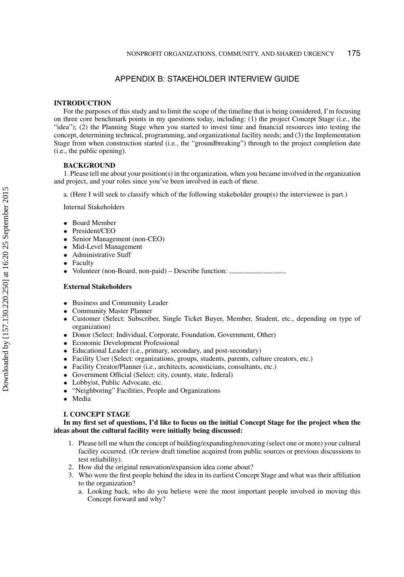### APPENDIX B: STAKEHOLDER INTERVIEW GUIDE

#### **INTRODUCTION**

For the purposes of this study and to limit the scope of the timeline that is being considered, I'm focusing on three core benchmark points in my questions today, including: (1) the project Concept Stage (i.e., the "idea"); (2) the Planning Stage when you started to invest time and financial resources into testing the concept, determining technical, programming, and organizational facility needs; and (3) the Implementation Stage from when construction started (i.e., the "groundbreaking") through to the project completion date (i.e., the public opening).

#### **BACKGROUND**

1. Please tell me about your position(s) in the organization, when you became involved in the organization and project, and your roles since you've been involved in each of these.

a. (Here I will seek to classify which of the following stakeholder group(s) the interviewee is part.)

Internal Stakeholders

- Board Member
- President/CEO
- Senior Management (non-CEO)
- Mid-Level Management
- Administrative Staff
- Faculty
- Volunteer (non-Board, non-paid) Describe function: \_\_\_\_\_\_\_\_\_\_\_\_\_\_\_\_\_\_\_\_\_\_\_\_\_

#### **External Stakeholders**

- Business and Community Leader<br>• Community Master Planner
- Community Master Planner
- Customer (Select: Subscriber, Single Ticket Buyer, Member, Student, etc., depending on type of organization)
- Donor (Select: Individual, Corporate, Foundation, Government, Other)<br>• Economic Development Professional
- Economic Development Professional<br>• Educational Leader (i.e., primary, sec
- Educational Leader (i.e., primary, secondary, and post-secondary)<br>• Facility User (Select: organizations, groups, students, parents, cul
- Facility User (Select: organizations, groups, students, parents, culture creators, etc.)
- Facility Creator/Planner (i.e., architects, acousticians, consultants, etc.)
- Government Official (Select: city, county, state, federal)
- Lobbyist, Public Advocate, etc.<br>• "Neighboring" Facilities. Peopl
- "Neighboring" Facilities, People and Organizations
- Media

#### **I. CONCEPT STAGE**

#### **In my first set of questions, I'd like to focus on the initial Concept Stage for the project when the ideas about the cultural facility were initially being discussed:**

- 1. Please tell me when the concept of building/expanding/renovating (select one or more) your cultural facility occurred. (Or review draft timeline acquired from public sources or previous discussions to test reliability).
- 2. How did the original renovation/expansion idea come about?
- 3. Who were the first people behind the idea in its earliest Concept Stage and what was their affiliation to the organization?
	- a. Looking back, who do you believe were the most important people involved in moving this Concept forward and why?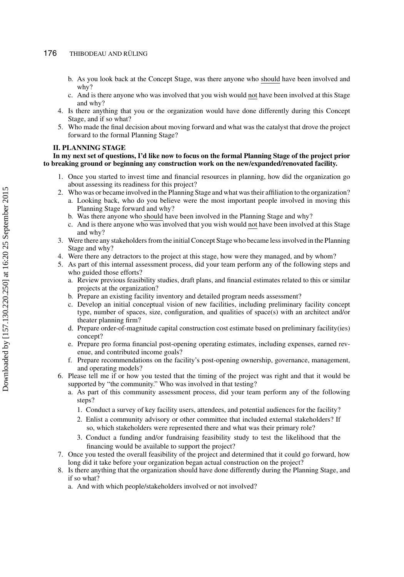#### 176 THIBODEAU AND RÜLING

- b. As you look back at the Concept Stage, was there anyone who should have been involved and why?
- c. And is there anyone who was involved that you wish would not have been involved at this Stage and why?
- 4. Is there anything that you or the organization would have done differently during this Concept Stage, and if so what?
- 5. Who made the final decision about moving forward and what was the catalyst that drove the project forward to the formal Planning Stage?

#### **II. PLANNING STAGE**

#### **In my next set of questions, I'd like now to focus on the formal Planning Stage of the project prior to breaking ground or beginning any construction work on the new/expanded/renovated facility.**

- 1. Once you started to invest time and financial resources in planning, how did the organization go about assessing its readiness for this project?
- 2. Who was or became involved in the Planning Stage and what was their affiliation to the organization?
	- a. Looking back, who do you believe were the most important people involved in moving this Planning Stage forward and why?
	- b. Was there anyone who should have been involved in the Planning Stage and why?
	- c. And is there anyone who was involved that you wish would not have been involved at this Stage and why?
- 3. Were there any stakeholders from the initial Concept Stage who became less involved in the Planning Stage and why?
- 4. Were there any detractors to the project at this stage, how were they managed, and by whom?
- 5. As part of this internal assessment process, did your team perform any of the following steps and who guided those efforts?
	- a. Review previous feasibility studies, draft plans, and financial estimates related to this or similar projects at the organization?
	- b. Prepare an existing facility inventory and detailed program needs assessment?
	- c. Develop an initial conceptual vision of new facilities, including preliminary facility concept type, number of spaces, size, configuration, and qualities of space(s) with an architect and/or theater planning firm?
	- d. Prepare order-of-magnitude capital construction cost estimate based on preliminary facility(ies) concept?
	- e. Prepare pro forma financial post-opening operating estimates, including expenses, earned revenue, and contributed income goals?
	- f. Prepare recommendations on the facility's post-opening ownership, governance, management, and operating models?
- 6. Please tell me if or how you tested that the timing of the project was right and that it would be supported by "the community." Who was involved in that testing?
	- a. As part of this community assessment process, did your team perform any of the following steps?
		- 1. Conduct a survey of key facility users, attendees, and potential audiences for the facility?
		- 2. Enlist a community advisory or other committee that included external stakeholders? If so, which stakeholders were represented there and what was their primary role?
		- 3. Conduct a funding and/or fundraising feasibility study to test the likelihood that the financing would be available to support the project?
- 7. Once you tested the overall feasibility of the project and determined that it could go forward, how long did it take before your organization began actual construction on the project?
- 8. Is there anything that the organization should have done differently during the Planning Stage, and if so what?
	- a. And with which people/stakeholders involved or not involved?